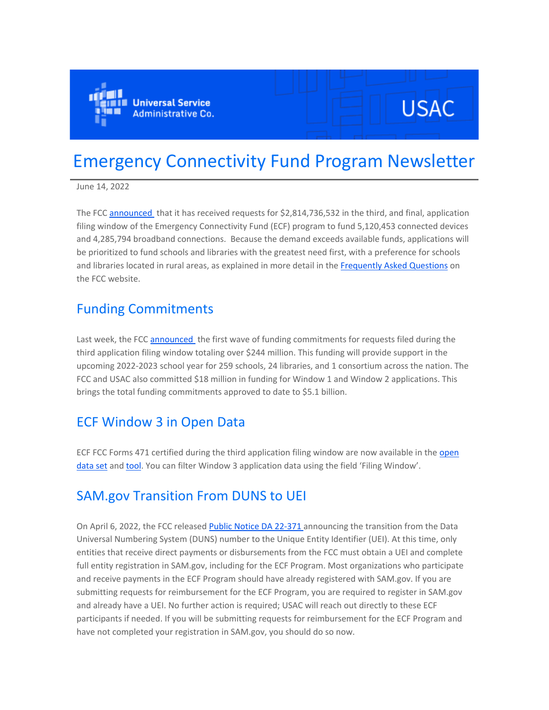

# **USAC**

# Emergency Connectivity Fund Program Newsletter

June 14, 2022

The FCC [announced t](https://eur01.safelinks.protection.outlook.com/?url=https%3A%2F%2Fclick.outreach.usac.org%2F%3Fqs%3Daa4ea2efc74fd877a25bc40cf7a055c17934123be01eb354d983149e11b76e9a0ef4891c259b26f094893620ab0cb74bc2fc6d6614c377e2&data=05%7C01%7CIngrid.Miranda-Paratore%40ey.com%7Cbee8e53ab83842aff24808da4e43f7f5%7C5b973f9977df4bebb27daa0c70b8482c%7C0%7C0%7C637908351100425883%7CUnknown%7CTWFpbGZsb3d8eyJWIjoiMC4wLjAwMDAiLCJQIjoiV2luMzIiLCJBTiI6Ik1haWwiLCJXVCI6Mn0%3D%7C3000%7C%7C%7C&sdata=uvAgYMI6vgTX3lBp2Jp5bIUa0IfWQ%2B%2Bvo3NeAEj8xe4%3D&reserved=0)hat it has received requests for \$2,814,736,532 in the third, and final, application filing window of the Emergency Connectivity Fund (ECF) program to fund 5,120,453 connected devices and 4,285,794 broadband connections. Because the demand exceeds available funds, applications will be prioritized to fund schools and libraries with the greatest need first, with a preference for schools and libraries located in rural areas, as explained in more detail in the [Frequently Asked Questions](https://eur01.safelinks.protection.outlook.com/?url=https%3A%2F%2Fclick.outreach.usac.org%2F%3Fqs%3Daa4ea2efc74fd877f2b0600fdfe1398c0594b4dbf0f3f11e62b2a62901024b75e7d22ac28a4ff70b5b207e435d2c268877ee3c3deeab39da&data=05%7C01%7CIngrid.Miranda-Paratore%40ey.com%7Cbee8e53ab83842aff24808da4e43f7f5%7C5b973f9977df4bebb27daa0c70b8482c%7C0%7C0%7C637908351100425883%7CUnknown%7CTWFpbGZsb3d8eyJWIjoiMC4wLjAwMDAiLCJQIjoiV2luMzIiLCJBTiI6Ik1haWwiLCJXVCI6Mn0%3D%7C3000%7C%7C%7C&sdata=wjy3v9J87ti4fxsqVwHHJsl1Bd3Yc4hOfLRKD3NMCCs%3D&reserved=0) on the FCC website.

#### Funding Commitments

Last week, the FCC [announced](https://eur01.safelinks.protection.outlook.com/?url=https%3A%2F%2Fclick.outreach.usac.org%2F%3Fqs%3Daa4ea2efc74fd8770df23258f39e71f0cf2cf4029877a6cef97e43d0a7befd859e63e62ee25a126b6f81b0da5ede2827220cf5c4bd7bdc76&data=05%7C01%7CIngrid.Miranda-Paratore%40ey.com%7Cbee8e53ab83842aff24808da4e43f7f5%7C5b973f9977df4bebb27daa0c70b8482c%7C0%7C0%7C637908351100425883%7CUnknown%7CTWFpbGZsb3d8eyJWIjoiMC4wLjAwMDAiLCJQIjoiV2luMzIiLCJBTiI6Ik1haWwiLCJXVCI6Mn0%3D%7C3000%7C%7C%7C&sdata=vmuT%2FSNXKCplDl41l9WDdOP8Hwq6%2BTiuZcT%2FGZPZLeM%3D&reserved=0) the first wave of funding commitments for requests filed during the third application filing window totaling over \$244 million. This funding will provide support in the upcoming 2022-2023 school year for 259 schools, 24 libraries, and 1 consortium across the nation. The FCC and USAC also committed \$18 million in funding for Window 1 and Window 2 applications. This brings the total funding commitments approved to date to \$5.1 billion.

## ECF Window 3 in Open Data

ECF FCC Forms 471 certified during the third application filing window are now available in the open [data set](https://eur01.safelinks.protection.outlook.com/?url=https%3A%2F%2Fclick.outreach.usac.org%2F%3Fqs%3Daa4ea2efc74fd877937ce17eb8a484110d4b900b4cf691404b91a5d05536e79762eb9551822dc1641b9ce4b39544c532705f4e96ac7f210e&data=05%7C01%7CIngrid.Miranda-Paratore%40ey.com%7Cbee8e53ab83842aff24808da4e43f7f5%7C5b973f9977df4bebb27daa0c70b8482c%7C0%7C0%7C637908351100425883%7CUnknown%7CTWFpbGZsb3d8eyJWIjoiMC4wLjAwMDAiLCJQIjoiV2luMzIiLCJBTiI6Ik1haWwiLCJXVCI6Mn0%3D%7C3000%7C%7C%7C&sdata=CoQgIy%2FDgsjNL3f87B3fSx79U4zgu4%2FIH3gjOrBUyic%3D&reserved=0) and [tool](https://eur01.safelinks.protection.outlook.com/?url=https%3A%2F%2Fclick.outreach.usac.org%2F%3Fqs%3Daa4ea2efc74fd877bc772a1b1cce83196e5c81e5b4e5d5d677810c85fc489f072f17eca613a9658422a3c32a0bafb8e16e61a4aff7d7727f&data=05%7C01%7CIngrid.Miranda-Paratore%40ey.com%7Cbee8e53ab83842aff24808da4e43f7f5%7C5b973f9977df4bebb27daa0c70b8482c%7C0%7C0%7C637908351100425883%7CUnknown%7CTWFpbGZsb3d8eyJWIjoiMC4wLjAwMDAiLCJQIjoiV2luMzIiLCJBTiI6Ik1haWwiLCJXVCI6Mn0%3D%7C3000%7C%7C%7C&sdata=dCKhz%2FdQLcTMrQZnUP5g09RhsSg9fVc3vtV9Bu9A4CU%3D&reserved=0). You can filter Window 3 application data using the field 'Filing Window'.

# SAM.gov Transition From DUNS to UEI

On April 6, 2022, the FCC released [Public Notice DA](https://eur01.safelinks.protection.outlook.com/?url=https%3A%2F%2Fclick.outreach.usac.org%2F%3Fqs%3Daa4ea2efc74fd8771b146dd9764b773fbc580956fa55e9c1172c909bfe88efdf39af43ce7c6d2b60a8334234eccbf855b9560932c0d3f403&data=05%7C01%7CIngrid.Miranda-Paratore%40ey.com%7Cbee8e53ab83842aff24808da4e43f7f5%7C5b973f9977df4bebb27daa0c70b8482c%7C0%7C0%7C637908351100425883%7CUnknown%7CTWFpbGZsb3d8eyJWIjoiMC4wLjAwMDAiLCJQIjoiV2luMzIiLCJBTiI6Ik1haWwiLCJXVCI6Mn0%3D%7C3000%7C%7C%7C&sdata=eFmFh89zdZQ77fAfgNVxOozoasOfb5VIVgZbdf4HRWw%3D&reserved=0) 22-371 announcing the transition from the Data Universal Numbering System (DUNS) number to the Unique Entity Identifier (UEI). At this time, only entities that receive direct payments or disbursements from the FCC must obtain a UEI and complete full entity registration in SAM.gov, including for the ECF Program. Most organizations who participate and receive payments in the ECF Program should have already registered with SAM.gov. If you are submitting requests for reimbursement for the ECF Program, you are required to register in SAM.gov and already have a UEI. No further action is required; USAC will reach out directly to these ECF participants if needed. If you will be submitting requests for reimbursement for the ECF Program and have not completed your registration in SAM.gov, you should do so now.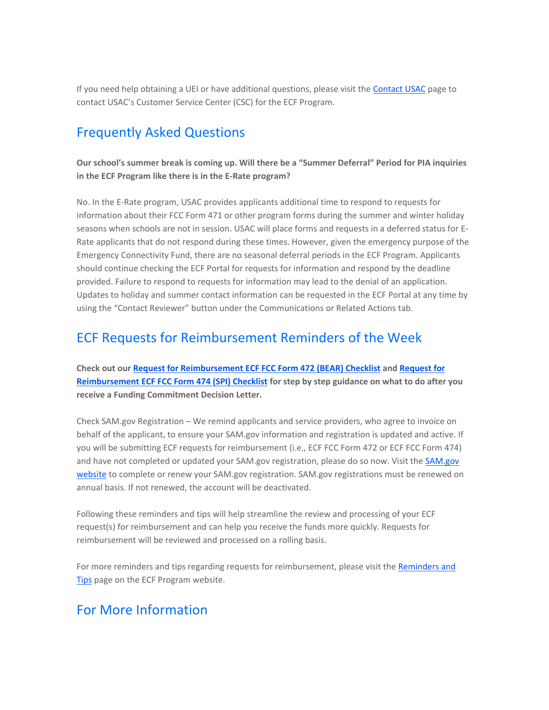If you need help obtaining a UEI or have additional questions, please visit the [Contact USAC](https://eur01.safelinks.protection.outlook.com/?url=https%3A%2F%2Fclick.outreach.usac.org%2F%3Fqs%3Daa4ea2efc74fd877333eb0eaaef48e70c466dd4df13ff6af6b938968cf4fe8f9cbf29e13494aa913ed072f6d33f63863ddb5ae7c852ca8ff&data=05%7C01%7CIngrid.Miranda-Paratore%40ey.com%7Cbee8e53ab83842aff24808da4e43f7f5%7C5b973f9977df4bebb27daa0c70b8482c%7C0%7C0%7C637908351100425883%7CUnknown%7CTWFpbGZsb3d8eyJWIjoiMC4wLjAwMDAiLCJQIjoiV2luMzIiLCJBTiI6Ik1haWwiLCJXVCI6Mn0%3D%7C3000%7C%7C%7C&sdata=4vysYdeNS5uCTU06%2FlzayyRwGLTVa%2BaPGNryw5180UE%3D&reserved=0) page to contact USAC's Customer Service Center (CSC) for the ECF Program.

# Frequently Asked Questions

**Our school's summer break is coming up. Will there be a "Summer Deferral" Period for PIA inquiries in the ECF Program like there is in the E-Rate program?**

No. In the E-Rate program, USAC provides applicants additional time to respond to requests for information about their FCC Form 471 or other program forms during the summer and winter holiday seasons when schools are not in session. USAC will place forms and requests in a deferred status for E-Rate applicants that do not respond during these times. However, given the emergency purpose of the Emergency Connectivity Fund, there are no seasonal deferral periods in the ECF Program. Applicants should continue checking the ECF Portal for requests for information and respond by the deadline provided. Failure to respond to requests for information may lead to the denial of an application. Updates to holiday and summer contact information can be requested in the ECF Portal at any time by using the "Contact Reviewer" button under the Communications or Related Actions tab.

#### ECF Requests for Reimbursement Reminders of the Week

**Check out our [Request for Reimbursement ECF FCC Form 472 \(BEAR\) Checklist](https://eur01.safelinks.protection.outlook.com/?url=https%3A%2F%2Fclick.outreach.usac.org%2F%3Fqs%3Daa4ea2efc74fd8779bb81fa1be3740348028ef73da4402e1979d9d4632adf05100860f8cbdad2ee1f6f8fbf45d35d5b337fe048c1cca06e6&data=05%7C01%7CIngrid.Miranda-Paratore%40ey.com%7Cbee8e53ab83842aff24808da4e43f7f5%7C5b973f9977df4bebb27daa0c70b8482c%7C0%7C0%7C637908351100425883%7CUnknown%7CTWFpbGZsb3d8eyJWIjoiMC4wLjAwMDAiLCJQIjoiV2luMzIiLCJBTiI6Ik1haWwiLCJXVCI6Mn0%3D%7C3000%7C%7C%7C&sdata=5lHfN4oEmYhVqVNLmWd6VtpzdmgHTxzhoeNiPYTTLmI%3D&reserved=0) and [Request for](https://eur01.safelinks.protection.outlook.com/?url=https%3A%2F%2Fclick.outreach.usac.org%2F%3Fqs%3Daa4ea2efc74fd8774d0f82de69a5dbce8f870eb223f6b9196593e097d61ef5e3b0258c456d3cc8acdfc2e25b7c57a8e69b1ab8ccc0e7da55&data=05%7C01%7CIngrid.Miranda-Paratore%40ey.com%7Cbee8e53ab83842aff24808da4e43f7f5%7C5b973f9977df4bebb27daa0c70b8482c%7C0%7C0%7C637908351100425883%7CUnknown%7CTWFpbGZsb3d8eyJWIjoiMC4wLjAwMDAiLCJQIjoiV2luMzIiLCJBTiI6Ik1haWwiLCJXVCI6Mn0%3D%7C3000%7C%7C%7C&sdata=DUk1r0sDfIJO5Vf%2B0Hlvtup15uZ7qRHmnlp5e%2Ftcuc8%3D&reserved=0)  [Reimbursement ECF FCC Form 474 \(SPI\) Checklist](https://eur01.safelinks.protection.outlook.com/?url=https%3A%2F%2Fclick.outreach.usac.org%2F%3Fqs%3Daa4ea2efc74fd8774d0f82de69a5dbce8f870eb223f6b9196593e097d61ef5e3b0258c456d3cc8acdfc2e25b7c57a8e69b1ab8ccc0e7da55&data=05%7C01%7CIngrid.Miranda-Paratore%40ey.com%7Cbee8e53ab83842aff24808da4e43f7f5%7C5b973f9977df4bebb27daa0c70b8482c%7C0%7C0%7C637908351100425883%7CUnknown%7CTWFpbGZsb3d8eyJWIjoiMC4wLjAwMDAiLCJQIjoiV2luMzIiLCJBTiI6Ik1haWwiLCJXVCI6Mn0%3D%7C3000%7C%7C%7C&sdata=DUk1r0sDfIJO5Vf%2B0Hlvtup15uZ7qRHmnlp5e%2Ftcuc8%3D&reserved=0) for step by step guidance on what to do after you receive a Funding Commitment Decision Letter.**

Check SAM.gov Registration – We remind applicants and service providers, who agree to invoice on behalf of the applicant, to ensure your SAM.gov information and registration is updated and active. If you will be submitting ECF requests for reimbursement (i.e., ECF FCC Form 472 or ECF FCC Form 474) and have not completed or updated your SAM.gov registration, please do so now. Visit the [SAM.gov](https://eur01.safelinks.protection.outlook.com/?url=https%3A%2F%2Fclick.outreach.usac.org%2F%3Fqs%3Daa4ea2efc74fd877e2f8e48fc5e19bb2de7c6bb1d8872e6a56d6b231426aed46a33d732d0486514f398b805306a46f4d87e7a31a40cf1d46&data=05%7C01%7CIngrid.Miranda-Paratore%40ey.com%7Cbee8e53ab83842aff24808da4e43f7f5%7C5b973f9977df4bebb27daa0c70b8482c%7C0%7C0%7C637908351100425883%7CUnknown%7CTWFpbGZsb3d8eyJWIjoiMC4wLjAwMDAiLCJQIjoiV2luMzIiLCJBTiI6Ik1haWwiLCJXVCI6Mn0%3D%7C3000%7C%7C%7C&sdata=igUSUMfvCdhUos4%2FqIlg67UhAIxlWZIMdyVCQBLZqs8%3D&reserved=0)  [website](https://eur01.safelinks.protection.outlook.com/?url=https%3A%2F%2Fclick.outreach.usac.org%2F%3Fqs%3Daa4ea2efc74fd877e2f8e48fc5e19bb2de7c6bb1d8872e6a56d6b231426aed46a33d732d0486514f398b805306a46f4d87e7a31a40cf1d46&data=05%7C01%7CIngrid.Miranda-Paratore%40ey.com%7Cbee8e53ab83842aff24808da4e43f7f5%7C5b973f9977df4bebb27daa0c70b8482c%7C0%7C0%7C637908351100425883%7CUnknown%7CTWFpbGZsb3d8eyJWIjoiMC4wLjAwMDAiLCJQIjoiV2luMzIiLCJBTiI6Ik1haWwiLCJXVCI6Mn0%3D%7C3000%7C%7C%7C&sdata=igUSUMfvCdhUos4%2FqIlg67UhAIxlWZIMdyVCQBLZqs8%3D&reserved=0) to complete or renew your SAM.gov registration. SAM.gov registrations must be renewed on annual basis. If not renewed, the account will be deactivated.

Following these reminders and tips will help streamline the review and processing of your ECF request(s) for reimbursement and can help you receive the funds more quickly. Requests for reimbursement will be reviewed and processed on a rolling basis.

For more reminders and tips regarding requests for reimbursement, please visit the Reminders and [Tips](https://eur01.safelinks.protection.outlook.com/?url=https%3A%2F%2Fclick.outreach.usac.org%2F%3Fqs%3Daa4ea2efc74fd8772d5e7886804d6c6f5acf60d5eb98108cf6bf72c43959d08e0b91b4ae74551f51dce43dd6de4287fcd71e7b51f7a6a14b&data=05%7C01%7CIngrid.Miranda-Paratore%40ey.com%7Cbee8e53ab83842aff24808da4e43f7f5%7C5b973f9977df4bebb27daa0c70b8482c%7C0%7C0%7C637908351100425883%7CUnknown%7CTWFpbGZsb3d8eyJWIjoiMC4wLjAwMDAiLCJQIjoiV2luMzIiLCJBTiI6Ik1haWwiLCJXVCI6Mn0%3D%7C3000%7C%7C%7C&sdata=aYkv6VAvp1UqGGX93hi%2FUoXZ2wk0gkUQyEMrGU1dZJI%3D&reserved=0) page on the ECF Program website.

## For More Information